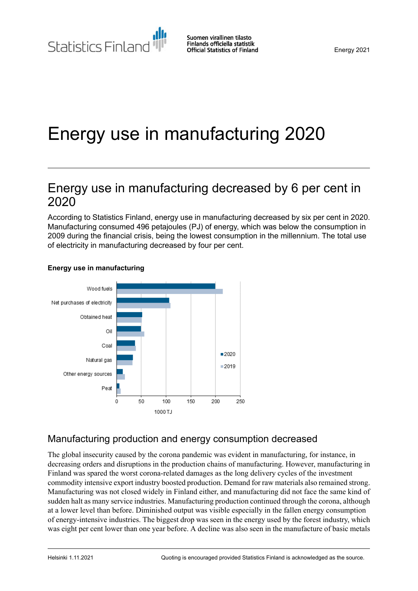# Energy use in manufacturing 2020

# Energy use in manufacturing decreased by 6 per cent in 2020

According to Statistics Finland, energy use in manufacturing decreased by six per cent in 2020. Manufacturing consumed 496 petajoules (PJ) of energy, which was below the consumption in 2009 during the financial crisis, being the lowest consumption in the millennium. The total use of electricity in manufacturing decreased by four per cent.



#### **Energy use in manufacturing**

### Manufacturing production and energy consumption decreased

The global insecurity caused by the corona pandemic was evident in manufacturing, for instance, in decreasing orders and disruptions in the production chains of manufacturing. However, manufacturing in Finland was spared the worst corona-related damages as the long delivery cycles of the investment commodity intensive export industry boosted production. Demand for raw materials also remained strong. Manufacturing was not closed widely in Finland either, and manufacturing did not face the same kind of sudden halt as many service industries. Manufacturing production continued through the corona, although at a lower level than before. Diminished output was visible especially in the fallen energy consumption of energy-intensive industries. The biggest drop was seen in the energy used by the forest industry, which was eight per cent lower than one year before. A decline was also seen in the manufacture of basic metals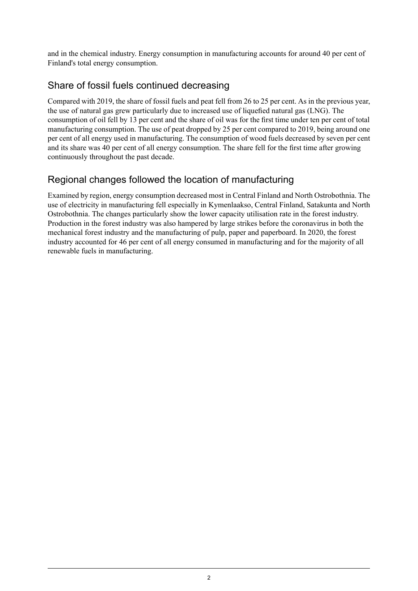and in the chemical industry. Energy consumption in manufacturing accounts for around 40 per cent of Finland's total energy consumption.

## Share of fossil fuels continued decreasing

Compared with 2019, the share of fossil fuels and peat fell from 26 to 25 per cent. As in the previous year, the use of natural gas grew particularly due to increased use of liquefied natural gas (LNG). The consumption of oil fell by 13 per cent and the share of oil was for the first time under ten per cent of total manufacturing consumption. The use of peat dropped by 25 per cent compared to 2019, being around one per cent of all energy used in manufacturing. The consumption of wood fuels decreased by seven per cent and its share was 40 per cent of all energy consumption. The share fell for the first time after growing continuously throughout the past decade.

# Regional changes followed the location of manufacturing

Examined by region, energy consumption decreased most in Central Finland and North Ostrobothnia. The use of electricity in manufacturing fell especially in Kymenlaakso, Central Finland, Satakunta and North Ostrobothnia. The changes particularly show the lower capacity utilisation rate in the forest industry. Production in the forest industry was also hampered by large strikes before the coronavirus in both the mechanical forest industry and the manufacturing of pulp, paper and paperboard. In 2020, the forest industry accounted for 46 per cent of all energy consumed in manufacturing and for the majority of all renewable fuels in manufacturing.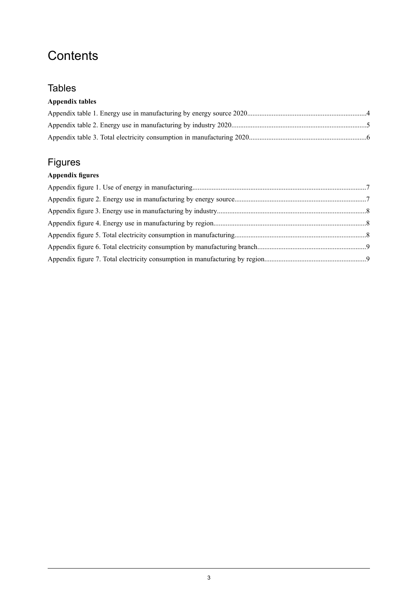# **Contents**

### **Tables**

### **Appendix tables**

# Figures

### **Appendix figures**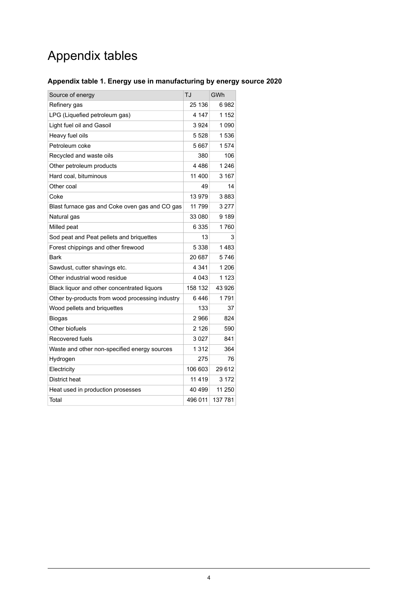# Appendix tables

### <span id="page-3-0"></span>**Appendix table 1. Energy use in manufacturing by energy source 2020**

| Source of energy                                | TJ      | GWh     |
|-------------------------------------------------|---------|---------|
| Refinery gas                                    | 25 136  | 6982    |
| LPG (Liquefied petroleum gas)                   | 4 147   | 1 1 5 2 |
| Light fuel oil and Gasoil                       | 3924    | 1 0 9 0 |
| Heavy fuel oils                                 | 5 5 28  | 1536    |
| Petroleum coke                                  | 5667    | 1574    |
| Recycled and waste oils                         | 380     | 106     |
| Other petroleum products                        | 4486    | 1 246   |
| Hard coal, bituminous                           | 11 400  | 3 167   |
| Other coal                                      | 49      | 14      |
| Coke                                            | 13 979  | 3883    |
| Blast furnace gas and Coke oven gas and CO gas  | 11 799  | 3 277   |
| Natural gas                                     | 33 080  | 9 189   |
| Milled peat                                     | 6 3 3 5 | 1760    |
| Sod peat and Peat pellets and briquettes        | 13      | 3       |
| Forest chippings and other firewood             | 5 3 3 8 | 1483    |
| Bark                                            | 20 687  | 5746    |
| Sawdust, cutter shavings etc.                   | 4 341   | 1 206   |
| Other industrial wood residue                   | 4 043   | 1 1 2 3 |
| Black liquor and other concentrated liquors     | 158 132 | 43 926  |
| Other by-products from wood processing industry | 6446    | 1791    |
| Wood pellets and briquettes                     | 133     | 37      |
| <b>Biogas</b>                                   | 2966    | 824     |
| Other biofuels                                  | 2 1 2 6 | 590     |
| Recovered fuels                                 | 3027    | 841     |
| Waste and other non-specified energy sources    | 1 3 1 2 | 364     |
| Hydrogen                                        | 275     | 76      |
| Electricity                                     | 106 603 | 29 612  |
| District heat                                   | 11 4 19 | 3 172   |
| Heat used in production prosesses               | 40 499  | 11 250  |
| Total                                           | 496 011 | 137 781 |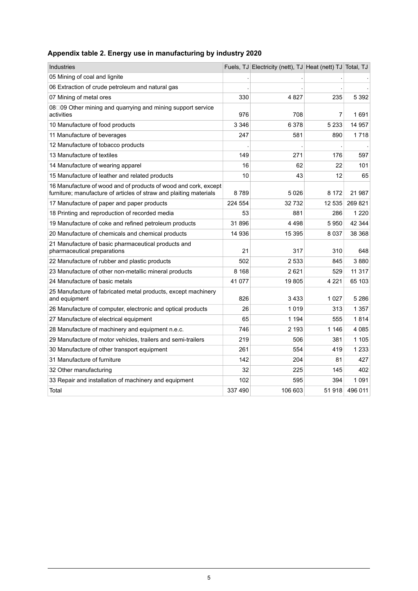### <span id="page-4-0"></span>**Appendix table 2. Energy use in manufacturing by industry 2020**

| <b>Industries</b>                                                                                                                     |         | Fuels, TJ Electricity (nett), TJ Heat (nett) TJ Total, TJ |         |         |
|---------------------------------------------------------------------------------------------------------------------------------------|---------|-----------------------------------------------------------|---------|---------|
| 05 Mining of coal and lignite                                                                                                         |         |                                                           |         |         |
| 06 Extraction of crude petroleum and natural gas                                                                                      |         |                                                           |         |         |
| 07 Mining of metal ores                                                                                                               | 330     | 4827                                                      | 235     | 5 3 9 2 |
| 08□09 Other mining and quarrying and mining support service<br>activities                                                             | 976     | 708                                                       | 7       | 1691    |
| 10 Manufacture of food products                                                                                                       | 3 3 4 6 | 6 3 7 8                                                   | 5 2 3 3 | 14 957  |
| 11 Manufacture of beverages                                                                                                           | 247     | 581                                                       | 890     | 1718    |
| 12 Manufacture of tobacco products                                                                                                    |         |                                                           |         |         |
| 13 Manufacture of textiles                                                                                                            | 149     | 271                                                       | 176     | 597     |
| 14 Manufacture of wearing apparel                                                                                                     | 16      | 62                                                        | 22      | 101     |
| 15 Manufacture of leather and related products                                                                                        | 10      | 43                                                        | 12      | 65      |
| 16 Manufacture of wood and of products of wood and cork, except<br>furniture; manufacture of articles of straw and plaiting materials | 8789    | 5026                                                      | 8 1 7 2 | 21 987  |
| 17 Manufacture of paper and paper products                                                                                            | 224 554 | 32732                                                     | 12 535  | 269 821 |
| 18 Printing and reproduction of recorded media                                                                                        | 53      | 881                                                       | 286     | 1 2 2 0 |
| 19 Manufacture of coke and refined petroleum products                                                                                 | 31896   | 4 4 9 8                                                   | 5950    | 42 344  |
| 20 Manufacture of chemicals and chemical products                                                                                     | 14 936  | 15 3 95                                                   | 8 0 3 7 | 38 368  |
| 21 Manufacture of basic pharmaceutical products and<br>pharmaceutical preparations                                                    | 21      | 317                                                       | 310     | 648     |
| 22 Manufacture of rubber and plastic products                                                                                         | 502     | 2 5 3 3                                                   | 845     | 3880    |
| 23 Manufacture of other non-metallic mineral products                                                                                 | 8 1 6 8 | 2621                                                      | 529     | 11 317  |
| 24 Manufacture of basic metals                                                                                                        | 41 0 77 | 19805                                                     | 4 2 2 1 | 65 103  |
| 25 Manufacture of fabricated metal products, except machinery<br>and equipment                                                        | 826     | 3433                                                      | 1 0 2 7 | 5 2 8 6 |
| 26 Manufacture of computer, electronic and optical products                                                                           | 26      | 1019                                                      | 313     | 1 357   |
| 27 Manufacture of electrical equipment                                                                                                | 65      | 1 1 9 4                                                   | 555     | 1814    |
| 28 Manufacture of machinery and equipment n.e.c.                                                                                      | 746     | 2 1 9 3                                                   | 1 1 4 6 | 4085    |
| 29 Manufacture of motor vehicles, trailers and semi-trailers                                                                          | 219     | 506                                                       | 381     | 1 1 0 5 |
| 30 Manufacture of other transport equipment                                                                                           | 261     | 554                                                       | 419     | 1 2 3 3 |
| 31 Manufacture of furniture                                                                                                           | 142     | 204                                                       | 81      | 427     |
| 32 Other manufacturing                                                                                                                | 32      | 225                                                       | 145     | 402     |
| 33 Repair and installation of machinery and equipment                                                                                 | 102     | 595                                                       | 394     | 1091    |
| Total                                                                                                                                 | 337 490 | 106 603                                                   | 51 918  | 496 011 |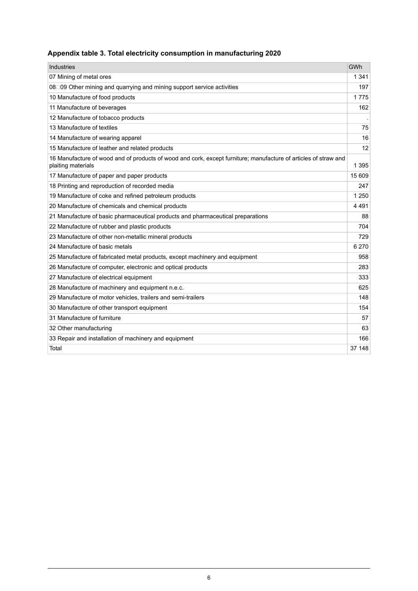### <span id="page-5-0"></span>**Appendix table 3. Total electricity consumption in manufacturing 2020**

| Industries                                                                                                                            | GWh     |
|---------------------------------------------------------------------------------------------------------------------------------------|---------|
| 07 Mining of metal ores                                                                                                               | 1 3 4 1 |
| 08□09 Other mining and quarrying and mining support service activities                                                                | 197     |
| 10 Manufacture of food products                                                                                                       | 1775    |
| 11 Manufacture of beverages                                                                                                           | 162     |
| 12 Manufacture of tobacco products                                                                                                    |         |
| 13 Manufacture of textiles                                                                                                            | 75      |
| 14 Manufacture of wearing apparel                                                                                                     | 16      |
| 15 Manufacture of leather and related products                                                                                        | 12      |
| 16 Manufacture of wood and of products of wood and cork, except furniture; manufacture of articles of straw and<br>plaiting materials | 1 3 9 5 |
| 17 Manufacture of paper and paper products                                                                                            | 15 609  |
| 18 Printing and reproduction of recorded media                                                                                        | 247     |
| 19 Manufacture of coke and refined petroleum products                                                                                 | 1 2 5 0 |
| 20 Manufacture of chemicals and chemical products                                                                                     | 4491    |
| 21 Manufacture of basic pharmaceutical products and pharmaceutical preparations                                                       | 88      |
| 22 Manufacture of rubber and plastic products                                                                                         | 704     |
| 23 Manufacture of other non-metallic mineral products                                                                                 | 729     |
| 24 Manufacture of basic metals                                                                                                        | 6 2 7 0 |
| 25 Manufacture of fabricated metal products, except machinery and equipment                                                           | 958     |
| 26 Manufacture of computer, electronic and optical products                                                                           | 283     |
| 27 Manufacture of electrical equipment                                                                                                | 333     |
| 28 Manufacture of machinery and equipment n.e.c.                                                                                      | 625     |
| 29 Manufacture of motor vehicles, trailers and semi-trailers                                                                          | 148     |
| 30 Manufacture of other transport equipment                                                                                           | 154     |
| 31 Manufacture of furniture                                                                                                           | 57      |
| 32 Other manufacturing                                                                                                                | 63      |
| 33 Repair and installation of machinery and equipment                                                                                 | 166     |
| Total                                                                                                                                 | 37 148  |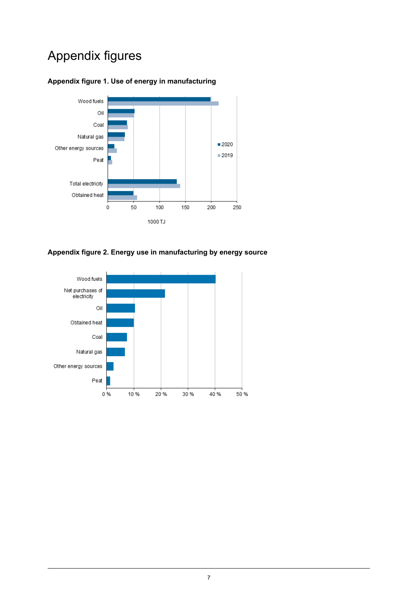# Appendix figures

### <span id="page-6-0"></span>**Appendix figure 1. Use of energy in manufacturing**



#### <span id="page-6-1"></span>**Appendix figure 2. Energy use in manufacturing by energy source**

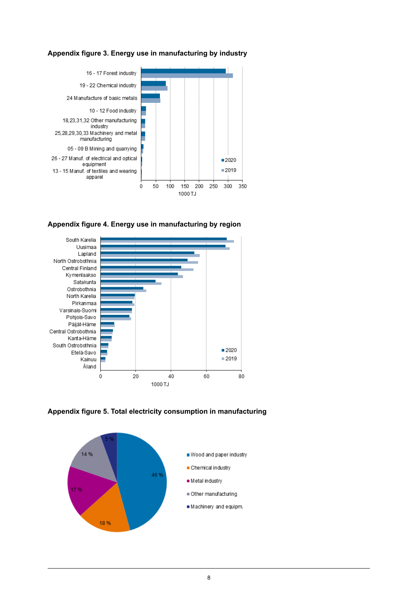<span id="page-7-0"></span>



<span id="page-7-1"></span>**Appendix figure 4. Energy use in manufacturing by region**



<span id="page-7-2"></span>**Appendix figure 5. Total electricity consumption in manufacturing**

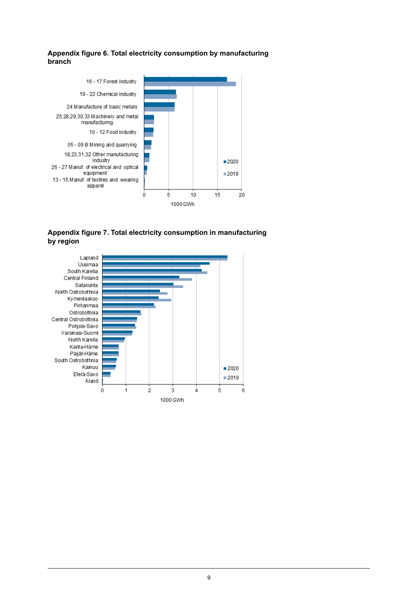#### <span id="page-8-0"></span>**Appendix figure 6. Total electricity consumption by manufacturing branch**



#### <span id="page-8-1"></span>**Appendix figure 7. Total electricity consumption in manufacturing by region**